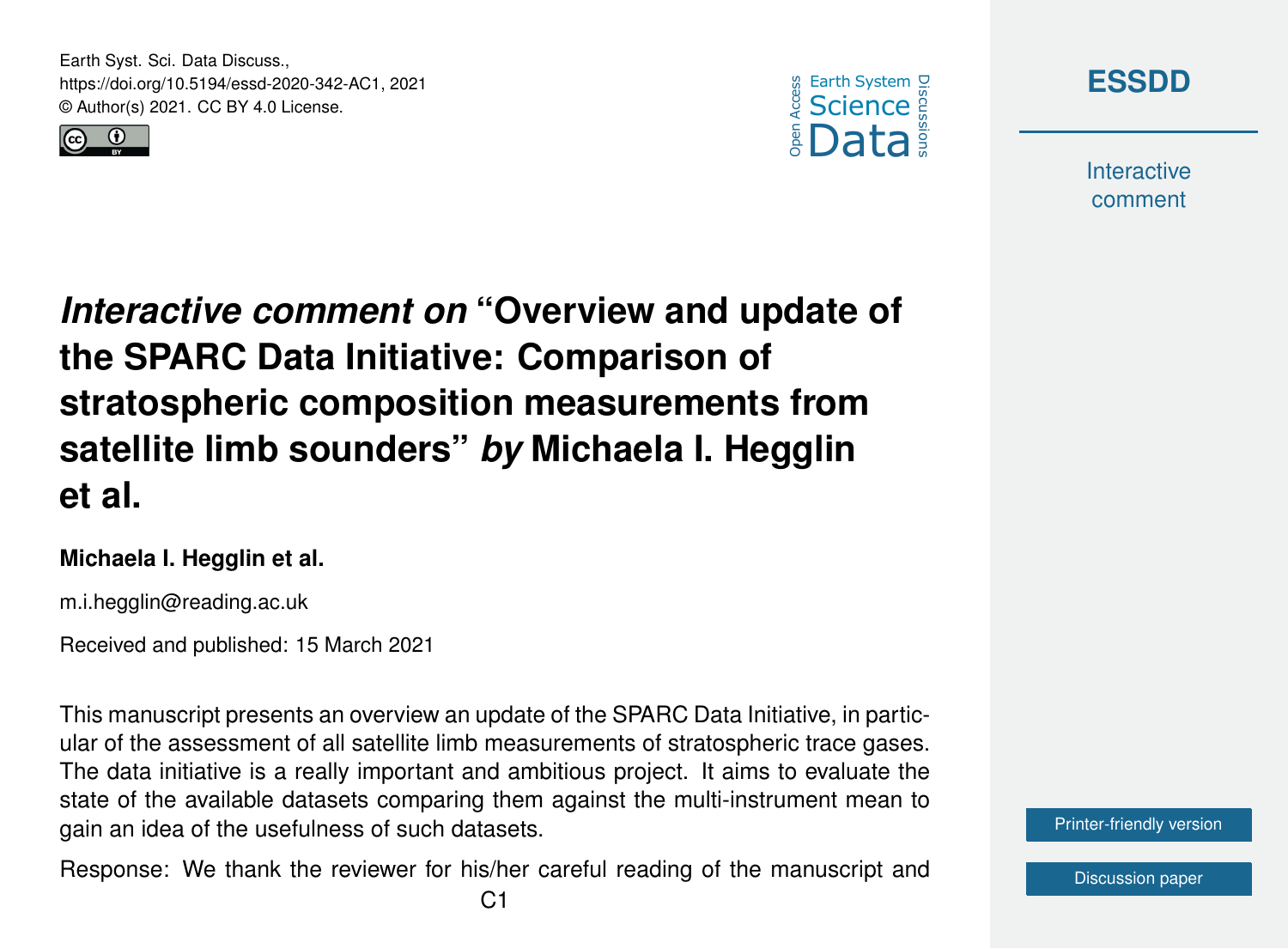Earth Syst. Sci. Data Discuss., https://doi.org/10.5194/essd-2020-342-AC1, 2021 © Author(s) 2021. CC BY 4.0 License.







**Interactive** comment

*Interactive comment on* **"Overview and update of the SPARC Data Initiative: Comparison of stratospheric composition measurements from satellite limb sounders"** *by* **Michaela I. Hegglin et al.**

#### **Michaela I. Hegglin et al.**

m.i.hegglin@reading.ac.uk

Received and published: 15 March 2021

This manuscript presents an overview an update of the SPARC Data Initiative, in particular of the assessment of all satellite limb measurements of stratospheric trace gases. The data initiative is a really important and ambitious project. It aims to evaluate the state of the available datasets comparing them against the multi-instrument mean to gain an idea of the usefulness of such datasets.

Response: We thank the reviewer for his/her careful reading of the manuscript and

[Printer-friendly version](https://essd.copernicus.org/preprints/essd-2020-342/essd-2020-342-AC1-print.pdf)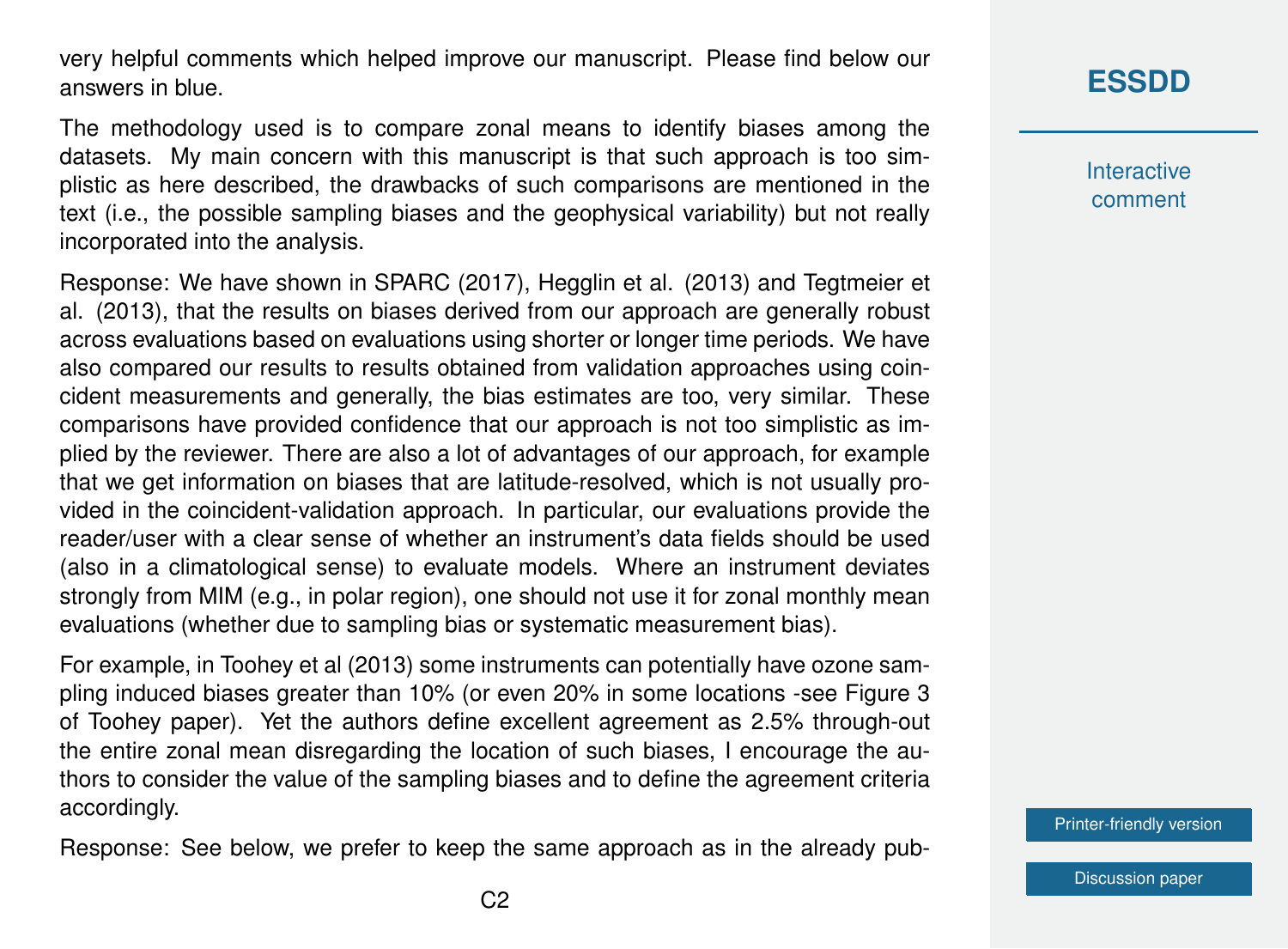very helpful comments which helped improve our manuscript. Please find below our answers in blue.

The methodology used is to compare zonal means to identify biases among the datasets. My main concern with this manuscript is that such approach is too simplistic as here described, the drawbacks of such comparisons are mentioned in the text (i.e., the possible sampling biases and the geophysical variability) but not really incorporated into the analysis.

Response: We have shown in SPARC (2017), Hegglin et al. (2013) and Tegtmeier et al. (2013), that the results on biases derived from our approach are generally robust across evaluations based on evaluations using shorter or longer time periods. We have also compared our results to results obtained from validation approaches using coincident measurements and generally, the bias estimates are too, very similar. These comparisons have provided confidence that our approach is not too simplistic as implied by the reviewer. There are also a lot of advantages of our approach, for example that we get information on biases that are latitude-resolved, which is not usually provided in the coincident-validation approach. In particular, our evaluations provide the reader/user with a clear sense of whether an instrument's data fields should be used (also in a climatological sense) to evaluate models. Where an instrument deviates strongly from MIM (e.g., in polar region), one should not use it for zonal monthly mean evaluations (whether due to sampling bias or systematic measurement bias).

For example, in Toohey et al (2013) some instruments can potentially have ozone sampling induced biases greater than 10% (or even 20% in some locations -see Figure 3 of Toohey paper). Yet the authors define excellent agreement as 2.5% through-out the entire zonal mean disregarding the location of such biases, I encourage the authors to consider the value of the sampling biases and to define the agreement criteria accordingly.

Response: See below, we prefer to keep the same approach as in the already pub-

# **[ESSDD](https://essd.copernicus.org/preprints/)**

**Interactive** comment

[Printer-friendly version](https://essd.copernicus.org/preprints/essd-2020-342/essd-2020-342-AC1-print.pdf)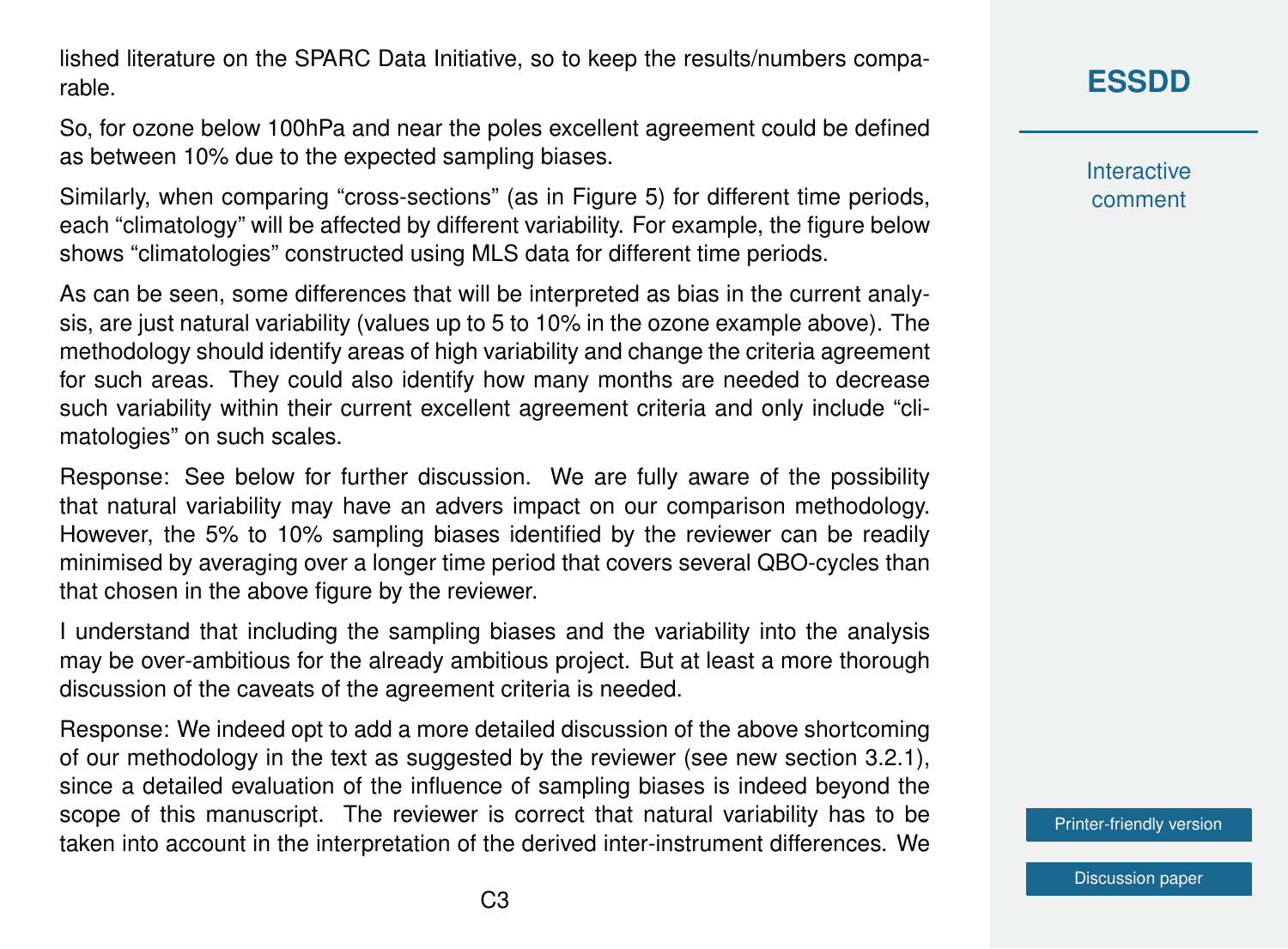lished literature on the SPARC Data Initiative, so to keep the results/numbers comparable.

So, for ozone below 100hPa and near the poles excellent agreement could be defined as between 10% due to the expected sampling biases.

Similarly, when comparing "cross-sections" (as in Figure 5) for different time periods, each "climatology" will be affected by different variability. For example, the figure below shows "climatologies" constructed using MLS data for different time periods.

As can be seen, some differences that will be interpreted as bias in the current analysis, are just natural variability (values up to 5 to 10% in the ozone example above). The methodology should identify areas of high variability and change the criteria agreement for such areas. They could also identify how many months are needed to decrease such variability within their current excellent agreement criteria and only include "climatologies" on such scales.

Response: See below for further discussion. We are fully aware of the possibility that natural variability may have an advers impact on our comparison methodology. However, the 5% to 10% sampling biases identified by the reviewer can be readily minimised by averaging over a longer time period that covers several QBO-cycles than that chosen in the above figure by the reviewer.

I understand that including the sampling biases and the variability into the analysis may be over-ambitious for the already ambitious project. But at least a more thorough discussion of the caveats of the agreement criteria is needed.

Response: We indeed opt to add a more detailed discussion of the above shortcoming of our methodology in the text as suggested by the reviewer (see new section 3.2.1), since a detailed evaluation of the influence of sampling biases is indeed beyond the scope of this manuscript. The reviewer is correct that natural variability has to be taken into account in the interpretation of the derived inter-instrument differences. We **[ESSDD](https://essd.copernicus.org/preprints/)**

**Interactive** comment

[Printer-friendly version](https://essd.copernicus.org/preprints/essd-2020-342/essd-2020-342-AC1-print.pdf)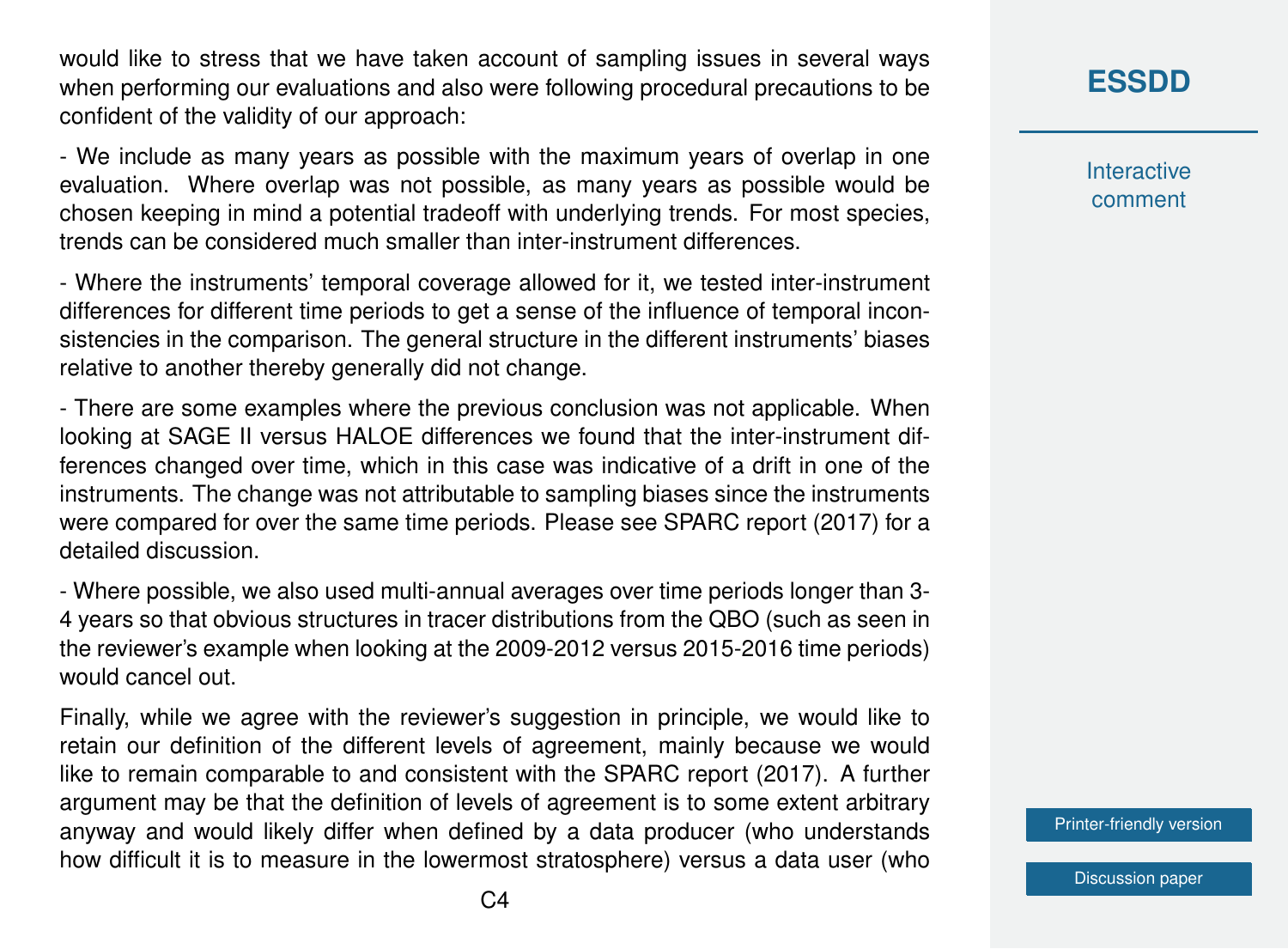would like to stress that we have taken account of sampling issues in several ways when performing our evaluations and also were following procedural precautions to be confident of the validity of our approach:

- We include as many years as possible with the maximum years of overlap in one evaluation. Where overlap was not possible, as many years as possible would be chosen keeping in mind a potential tradeoff with underlying trends. For most species, trends can be considered much smaller than inter-instrument differences.

- Where the instruments' temporal coverage allowed for it, we tested inter-instrument differences for different time periods to get a sense of the influence of temporal inconsistencies in the comparison. The general structure in the different instruments' biases relative to another thereby generally did not change.

- There are some examples where the previous conclusion was not applicable. When looking at SAGE II versus HALOE differences we found that the inter-instrument differences changed over time, which in this case was indicative of a drift in one of the instruments. The change was not attributable to sampling biases since the instruments were compared for over the same time periods. Please see SPARC report (2017) for a detailed discussion.

- Where possible, we also used multi-annual averages over time periods longer than 3- 4 years so that obvious structures in tracer distributions from the QBO (such as seen in the reviewer's example when looking at the 2009-2012 versus 2015-2016 time periods) would cancel out.

Finally, while we agree with the reviewer's suggestion in principle, we would like to retain our definition of the different levels of agreement, mainly because we would like to remain comparable to and consistent with the SPARC report (2017). A further argument may be that the definition of levels of agreement is to some extent arbitrary anyway and would likely differ when defined by a data producer (who understands how difficult it is to measure in the lowermost stratosphere) versus a data user (who

### **[ESSDD](https://essd.copernicus.org/preprints/)**

**Interactive** comment

[Printer-friendly version](https://essd.copernicus.org/preprints/essd-2020-342/essd-2020-342-AC1-print.pdf)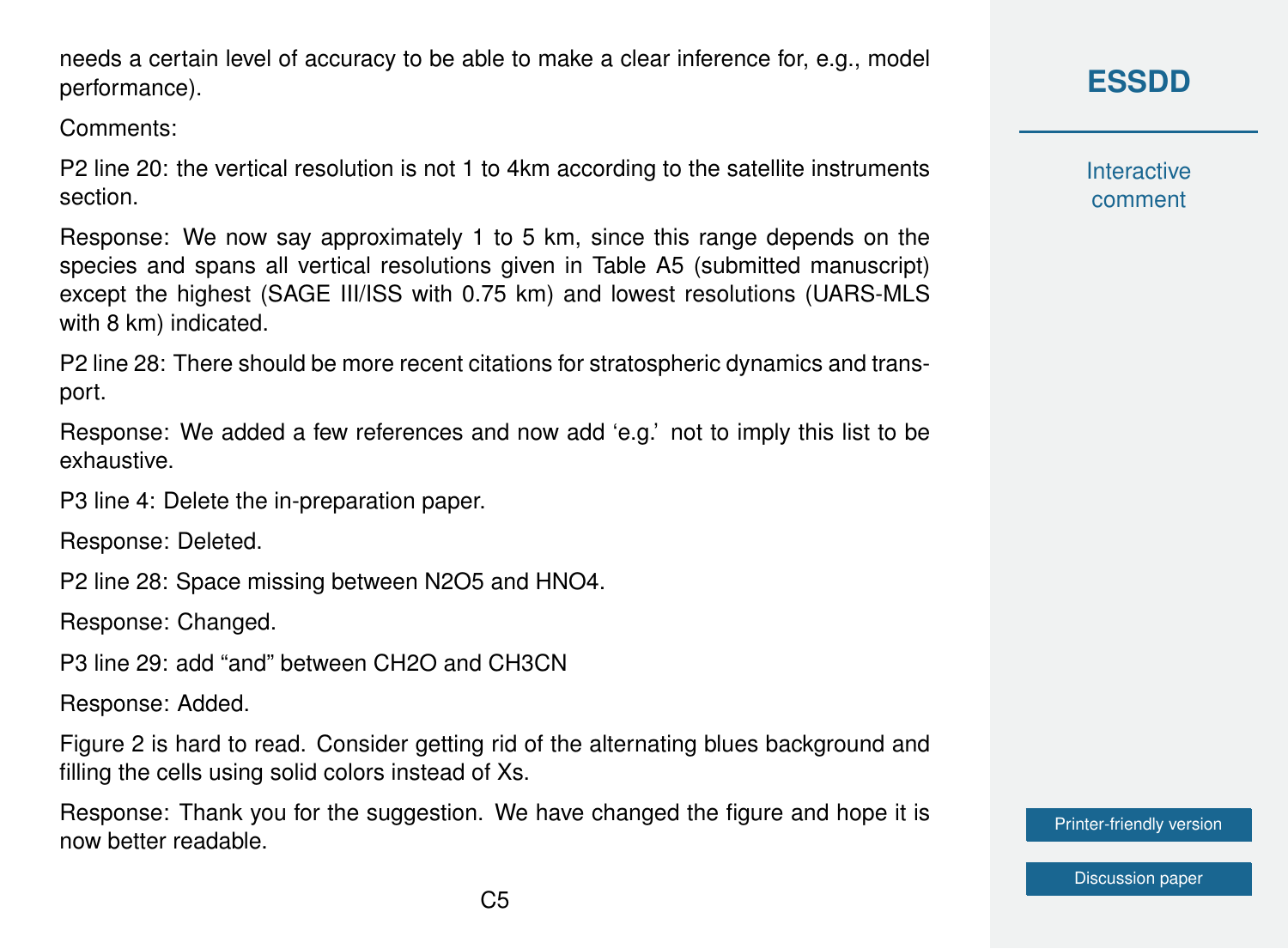$C<sub>5</sub>$ 

needs a certain level of accuracy to be able to make a clear inference for, e.g., model performance).

Comments:

P2 line 20: the vertical resolution is not 1 to 4km according to the satellite instruments section.

Response: We now say approximately 1 to 5 km, since this range depends on the species and spans all vertical resolutions given in Table A5 (submitted manuscript) except the highest (SAGE III/ISS with 0.75 km) and lowest resolutions (UARS-MLS with 8 km) indicated.

P2 line 28: There should be more recent citations for stratospheric dynamics and transport.

Response: We added a few references and now add 'e.g.' not to imply this list to be exhaustive.

P3 line 4: Delete the in-preparation paper.

Response: Deleted.

P2 line 28: Space missing between N2O5 and HNO4.

Response: Changed.

P3 line 29: add "and" between CH2O and CH3CN

Response: Added.

Figure 2 is hard to read. Consider getting rid of the alternating blues background and filling the cells using solid colors instead of Xs.

Response: Thank you for the suggestion. We have changed the figure and hope it is now better readable.

### **[ESSDD](https://essd.copernicus.org/preprints/)**

**Interactive** comment

[Printer-friendly version](https://essd.copernicus.org/preprints/essd-2020-342/essd-2020-342-AC1-print.pdf)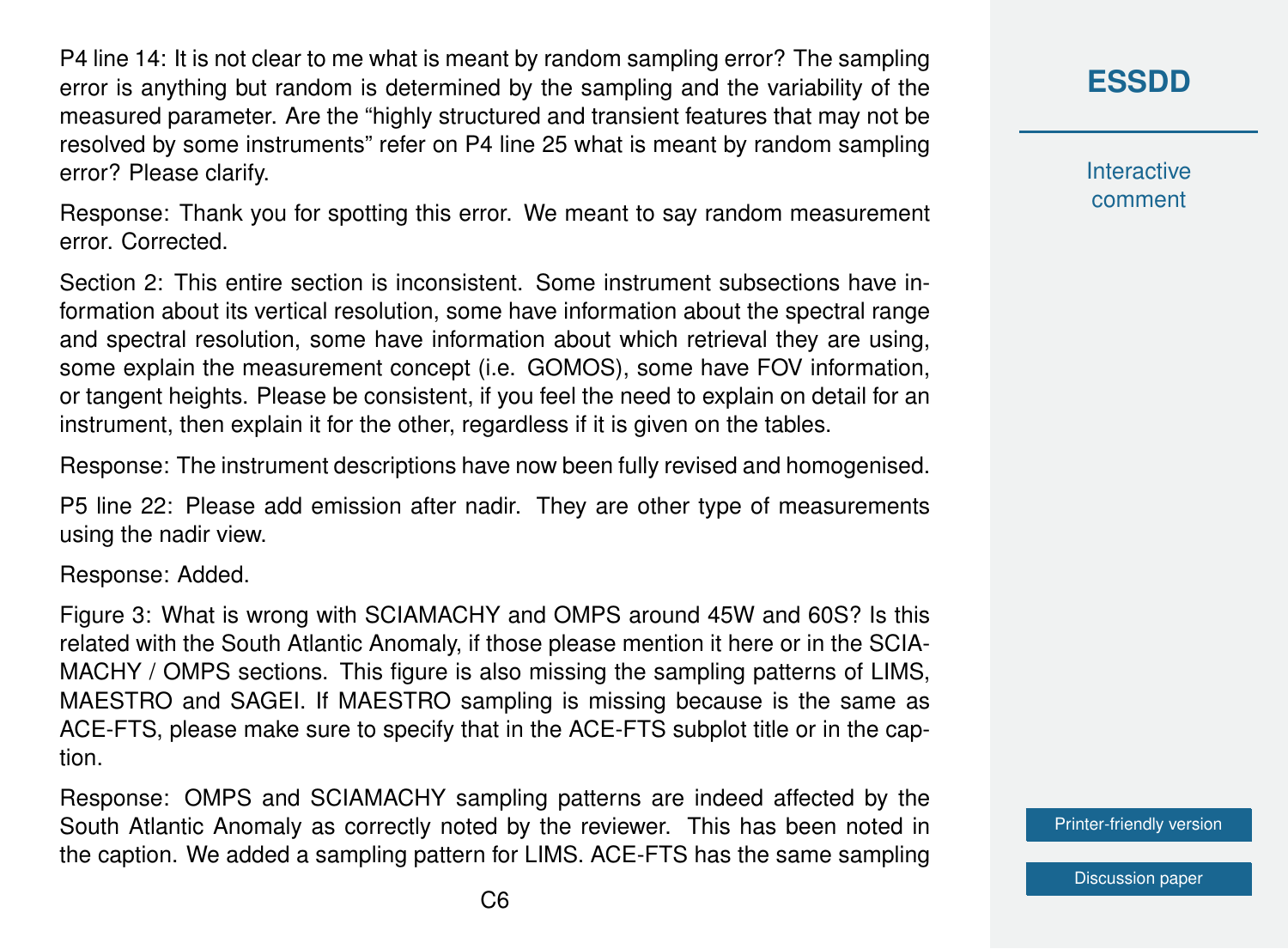P4 line 14: It is not clear to me what is meant by random sampling error? The sampling error is anything but random is determined by the sampling and the variability of the measured parameter. Are the "highly structured and transient features that may not be resolved by some instruments" refer on P4 line 25 what is meant by random sampling error? Please clarify.

Response: Thank you for spotting this error. We meant to say random measurement error. Corrected.

Section 2: This entire section is inconsistent. Some instrument subsections have information about its vertical resolution, some have information about the spectral range and spectral resolution, some have information about which retrieval they are using, some explain the measurement concept (i.e. GOMOS), some have FOV information, or tangent heights. Please be consistent, if you feel the need to explain on detail for an instrument, then explain it for the other, regardless if it is given on the tables.

Response: The instrument descriptions have now been fully revised and homogenised.

P5 line 22: Please add emission after nadir. They are other type of measurements using the nadir view.

Response: Added.

Figure 3: What is wrong with SCIAMACHY and OMPS around 45W and 60S? Is this related with the South Atlantic Anomaly, if those please mention it here or in the SCIA-MACHY / OMPS sections. This figure is also missing the sampling patterns of LIMS, MAESTRO and SAGEI. If MAESTRO sampling is missing because is the same as ACE-FTS, please make sure to specify that in the ACE-FTS subplot title or in the caption.

Response: OMPS and SCIAMACHY sampling patterns are indeed affected by the South Atlantic Anomaly as correctly noted by the reviewer. This has been noted in the caption. We added a sampling pattern for LIMS. ACE-FTS has the same sampling **[ESSDD](https://essd.copernicus.org/preprints/)**

**Interactive** comment

[Printer-friendly version](https://essd.copernicus.org/preprints/essd-2020-342/essd-2020-342-AC1-print.pdf)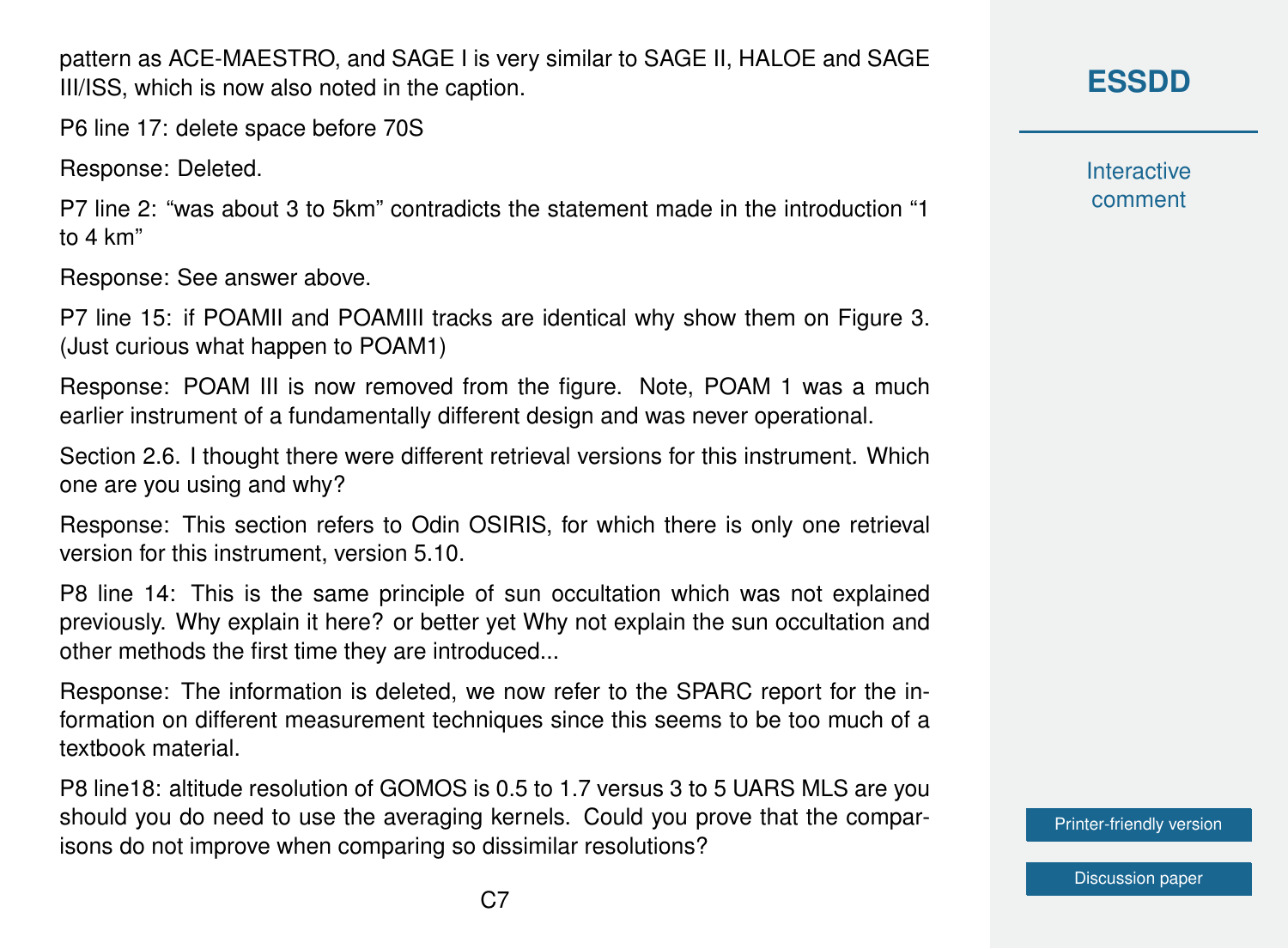$C<sub>7</sub>$ 

pattern as ACE-MAESTRO, and SAGE I is very similar to SAGE II, HALOE and SAGE III/ISS, which is now also noted in the caption.

P6 line 17: delete space before 70S

Response: Deleted.

P7 line 2: "was about 3 to 5km" contradicts the statement made in the introduction "1 to 4 km"

Response: See answer above.

P7 line 15: if POAMII and POAMIII tracks are identical why show them on Figure 3. (Just curious what happen to POAM1)

Response: POAM III is now removed from the figure. Note, POAM 1 was a much earlier instrument of a fundamentally different design and was never operational.

Section 2.6. I thought there were different retrieval versions for this instrument. Which one are you using and why?

Response: This section refers to Odin OSIRIS, for which there is only one retrieval version for this instrument, version 5.10.

P8 line 14: This is the same principle of sun occultation which was not explained previously. Why explain it here? or better yet Why not explain the sun occultation and other methods the first time they are introduced...

Response: The information is deleted, we now refer to the SPARC report for the information on different measurement techniques since this seems to be too much of a textbook material.

P8 line18: altitude resolution of GOMOS is 0.5 to 1.7 versus 3 to 5 UARS MLS are you should you do need to use the averaging kernels. Could you prove that the comparisons do not improve when comparing so dissimilar resolutions?

### **[ESSDD](https://essd.copernicus.org/preprints/)**

**Interactive** comment

[Printer-friendly version](https://essd.copernicus.org/preprints/essd-2020-342/essd-2020-342-AC1-print.pdf)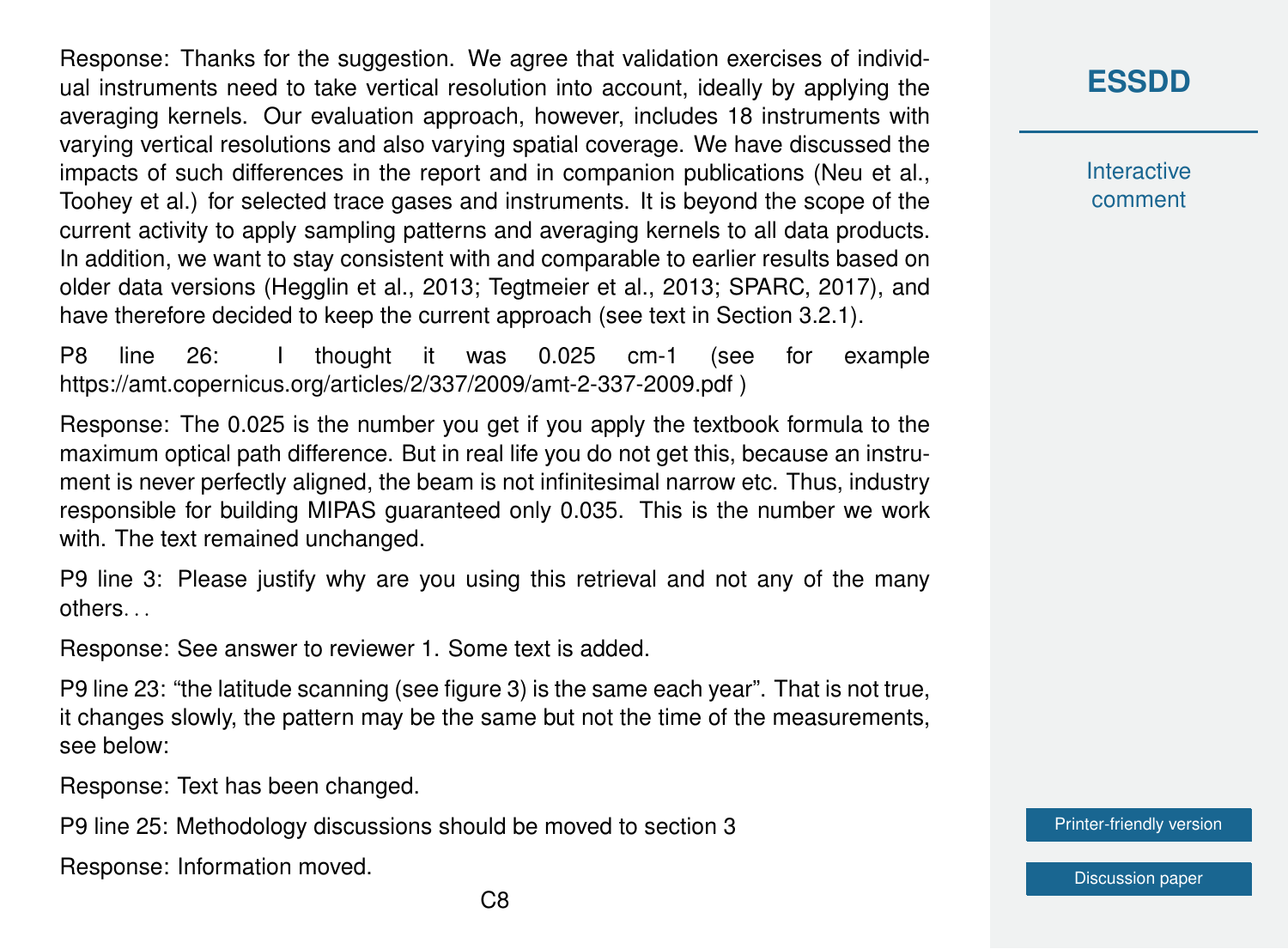Response: Thanks for the suggestion. We agree that validation exercises of individual instruments need to take vertical resolution into account, ideally by applying the averaging kernels. Our evaluation approach, however, includes 18 instruments with varying vertical resolutions and also varying spatial coverage. We have discussed the impacts of such differences in the report and in companion publications (Neu et al., Toohey et al.) for selected trace gases and instruments. It is beyond the scope of the current activity to apply sampling patterns and averaging kernels to all data products. In addition, we want to stay consistent with and comparable to earlier results based on older data versions (Hegglin et al., 2013; Tegtmeier et al., 2013; SPARC, 2017), and have therefore decided to keep the current approach (see text in Section 3.2.1).

P8 line 26: I thought it was 0.025 cm-1 (see for example https://amt.copernicus.org/articles/2/337/2009/amt-2-337-2009.pdf )

Response: The 0.025 is the number you get if you apply the textbook formula to the maximum optical path difference. But in real life you do not get this, because an instrument is never perfectly aligned, the beam is not infinitesimal narrow etc. Thus, industry responsible for building MIPAS guaranteed only 0.035. This is the number we work with. The text remained unchanged.

P9 line 3: Please justify why are you using this retrieval and not any of the many others. . .

Response: See answer to reviewer 1. Some text is added.

P9 line 23: "the latitude scanning (see figure 3) is the same each year". That is not true, it changes slowly, the pattern may be the same but not the time of the measurements, see below:

Response: Text has been changed.

P9 line 25: Methodology discussions should be moved to section 3

Response: Information moved.

**[ESSDD](https://essd.copernicus.org/preprints/)**

**Interactive** comment

[Printer-friendly version](https://essd.copernicus.org/preprints/essd-2020-342/essd-2020-342-AC1-print.pdf)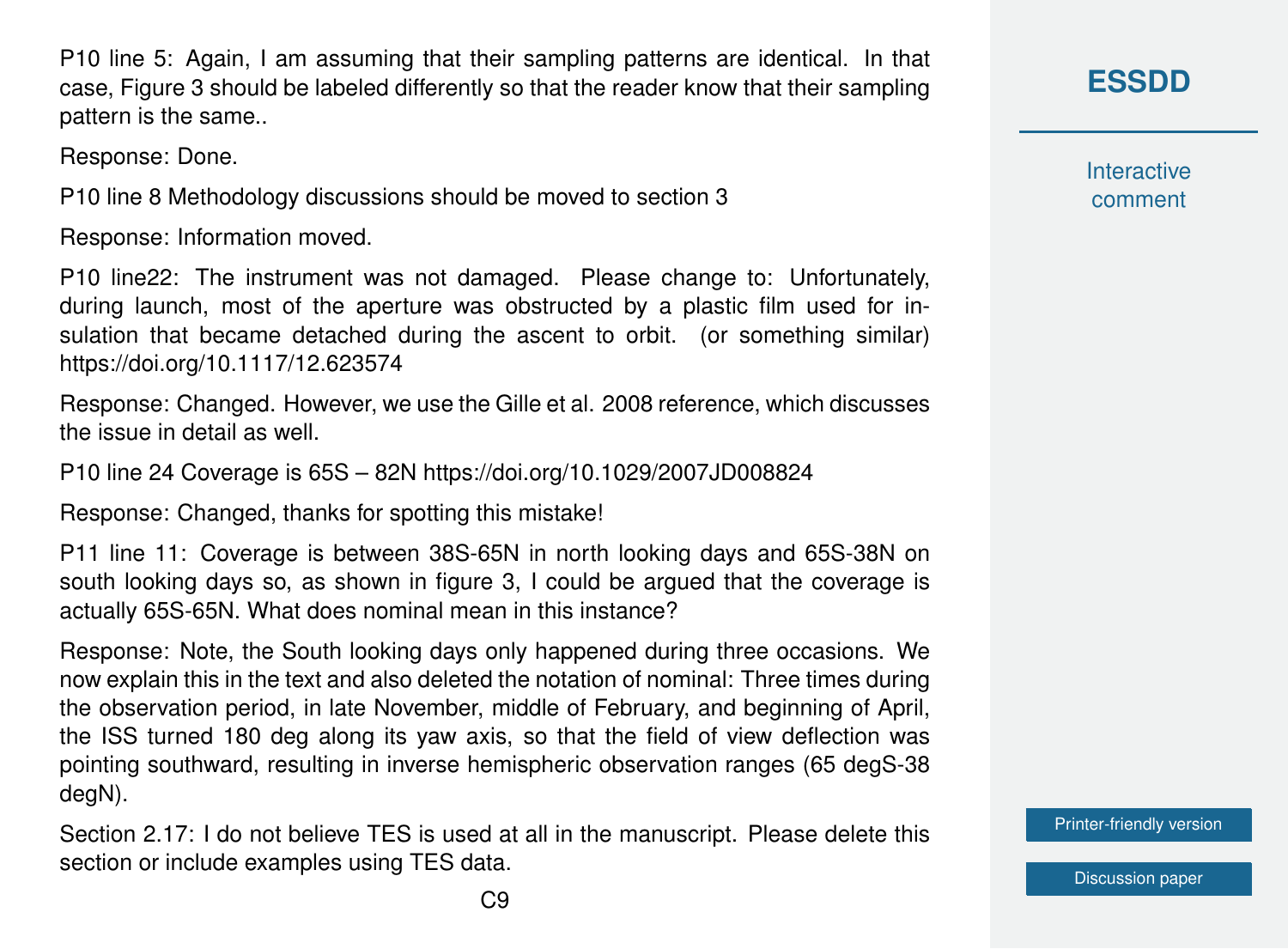P10 line 5: Again, I am assuming that their sampling patterns are identical. In that case, Figure 3 should be labeled differently so that the reader know that their sampling pattern is the same..

Response: Done.

P10 line 8 Methodology discussions should be moved to section 3

Response: Information moved.

P10 line22: The instrument was not damaged. Please change to: Unfortunately, during launch, most of the aperture was obstructed by a plastic film used for insulation that became detached during the ascent to orbit. (or something similar) https://doi.org/10.1117/12.623574

Response: Changed. However, we use the Gille et al. 2008 reference, which discusses the issue in detail as well.

P10 line 24 Coverage is 65S – 82N https://doi.org/10.1029/2007JD008824

Response: Changed, thanks for spotting this mistake!

P11 line 11: Coverage is between 38S-65N in north looking days and 65S-38N on south looking days so, as shown in figure 3, I could be argued that the coverage is actually 65S-65N. What does nominal mean in this instance?

Response: Note, the South looking days only happened during three occasions. We now explain this in the text and also deleted the notation of nominal: Three times during the observation period, in late November, middle of February, and beginning of April, the ISS turned 180 deg along its yaw axis, so that the field of view deflection was pointing southward, resulting in inverse hemispheric observation ranges (65 degS-38 degN).

Section 2.17: I do not believe TES is used at all in the manuscript. Please delete this section or include examples using TES data.

**[ESSDD](https://essd.copernicus.org/preprints/)**

**Interactive** comment

[Printer-friendly version](https://essd.copernicus.org/preprints/essd-2020-342/essd-2020-342-AC1-print.pdf)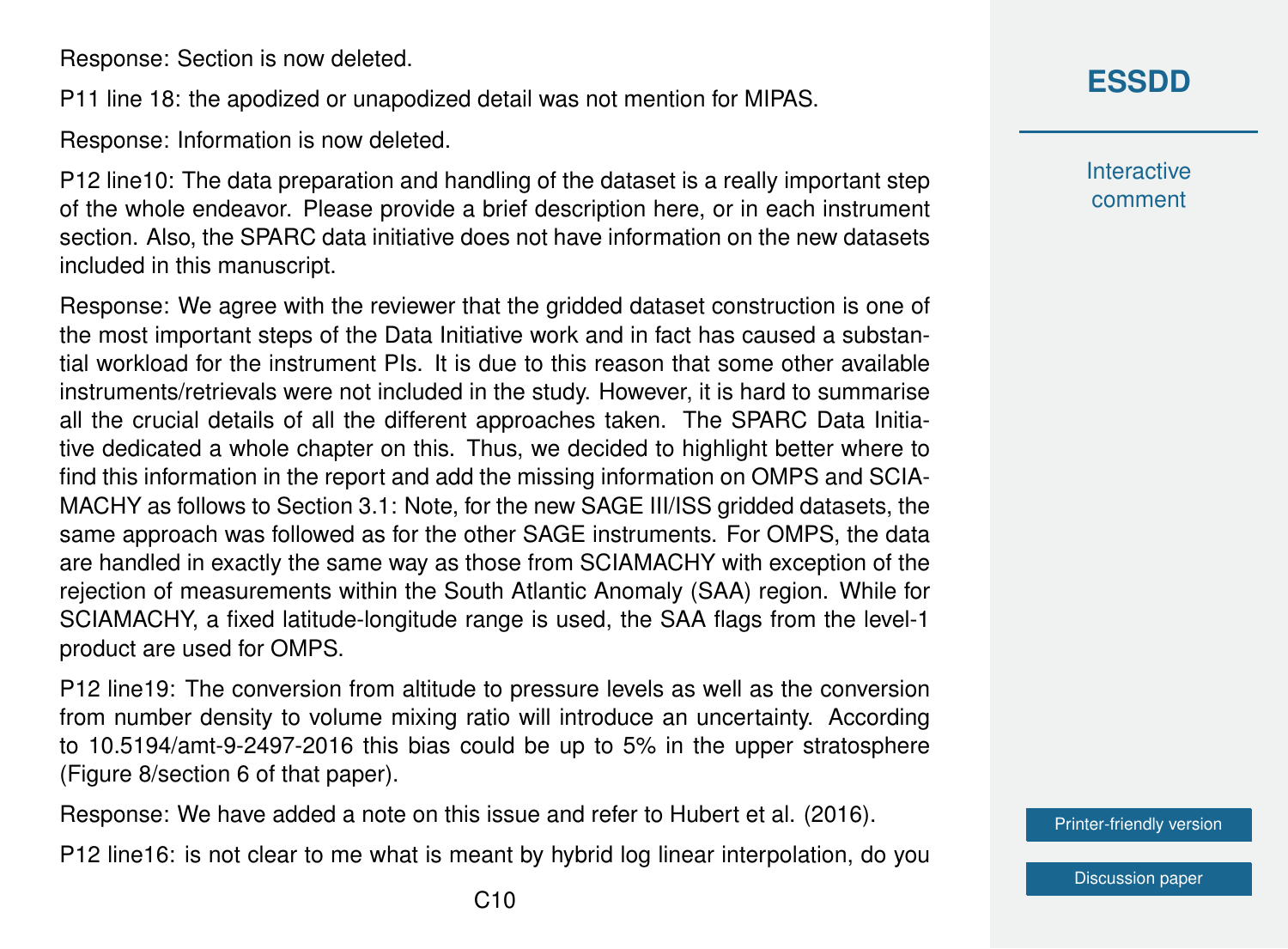Response: Section is now deleted.

P11 line 18: the apodized or unapodized detail was not mention for MIPAS.

Response: Information is now deleted.

P12 line10: The data preparation and handling of the dataset is a really important step of the whole endeavor. Please provide a brief description here, or in each instrument section. Also, the SPARC data initiative does not have information on the new datasets included in this manuscript.

Response: We agree with the reviewer that the gridded dataset construction is one of the most important steps of the Data Initiative work and in fact has caused a substantial workload for the instrument PIs. It is due to this reason that some other available instruments/retrievals were not included in the study. However, it is hard to summarise all the crucial details of all the different approaches taken. The SPARC Data Initiative dedicated a whole chapter on this. Thus, we decided to highlight better where to find this information in the report and add the missing information on OMPS and SCIA-MACHY as follows to Section 3.1: Note, for the new SAGE III/ISS gridded datasets, the same approach was followed as for the other SAGE instruments. For OMPS, the data are handled in exactly the same way as those from SCIAMACHY with exception of the rejection of measurements within the South Atlantic Anomaly (SAA) region. While for SCIAMACHY, a fixed latitude-longitude range is used, the SAA flags from the level-1 product are used for OMPS.

P12 line19: The conversion from altitude to pressure levels as well as the conversion from number density to volume mixing ratio will introduce an uncertainty. According to 10.5194/amt-9-2497-2016 this bias could be up to 5% in the upper stratosphere (Figure 8/section 6 of that paper).

Response: We have added a note on this issue and refer to Hubert et al. (2016).

P12 line16: is not clear to me what is meant by hybrid log linear interpolation, do you

**Interactive** comment

[Printer-friendly version](https://essd.copernicus.org/preprints/essd-2020-342/essd-2020-342-AC1-print.pdf)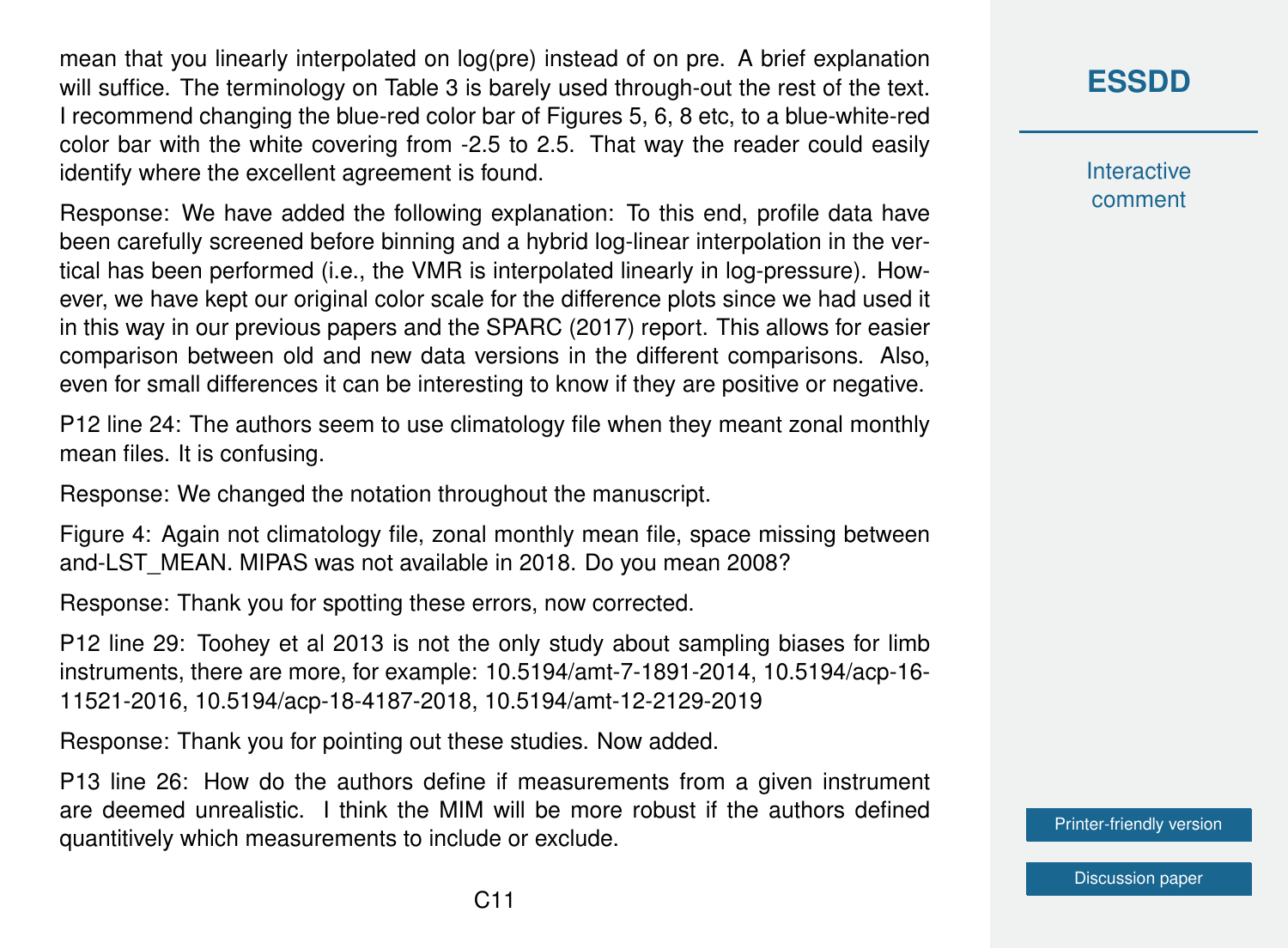mean that you linearly interpolated on log(pre) instead of on pre. A brief explanation will suffice. The terminology on Table 3 is barely used through-out the rest of the text. I recommend changing the blue-red color bar of Figures 5, 6, 8 etc, to a blue-white-red color bar with the white covering from -2.5 to 2.5. That way the reader could easily identify where the excellent agreement is found.

Response: We have added the following explanation: To this end, profile data have been carefully screened before binning and a hybrid log-linear interpolation in the vertical has been performed (i.e., the VMR is interpolated linearly in log-pressure). However, we have kept our original color scale for the difference plots since we had used it in this way in our previous papers and the SPARC (2017) report. This allows for easier comparison between old and new data versions in the different comparisons. Also, even for small differences it can be interesting to know if they are positive or negative.

P12 line 24: The authors seem to use climatology file when they meant zonal monthly mean files. It is confusing.

Response: We changed the notation throughout the manuscript.

Figure 4: Again not climatology file, zonal monthly mean file, space missing between and-LST\_MEAN. MIPAS was not available in 2018. Do you mean 2008?

Response: Thank you for spotting these errors, now corrected.

P12 line 29: Toohey et al 2013 is not the only study about sampling biases for limb instruments, there are more, for example: 10.5194/amt-7-1891-2014, 10.5194/acp-16- 11521-2016, 10.5194/acp-18-4187-2018, 10.5194/amt-12-2129-2019

Response: Thank you for pointing out these studies. Now added.

P13 line 26: How do the authors define if measurements from a given instrument are deemed unrealistic. I think the MIM will be more robust if the authors defined quantitively which measurements to include or exclude.

**[ESSDD](https://essd.copernicus.org/preprints/)**

**Interactive** comment

[Printer-friendly version](https://essd.copernicus.org/preprints/essd-2020-342/essd-2020-342-AC1-print.pdf)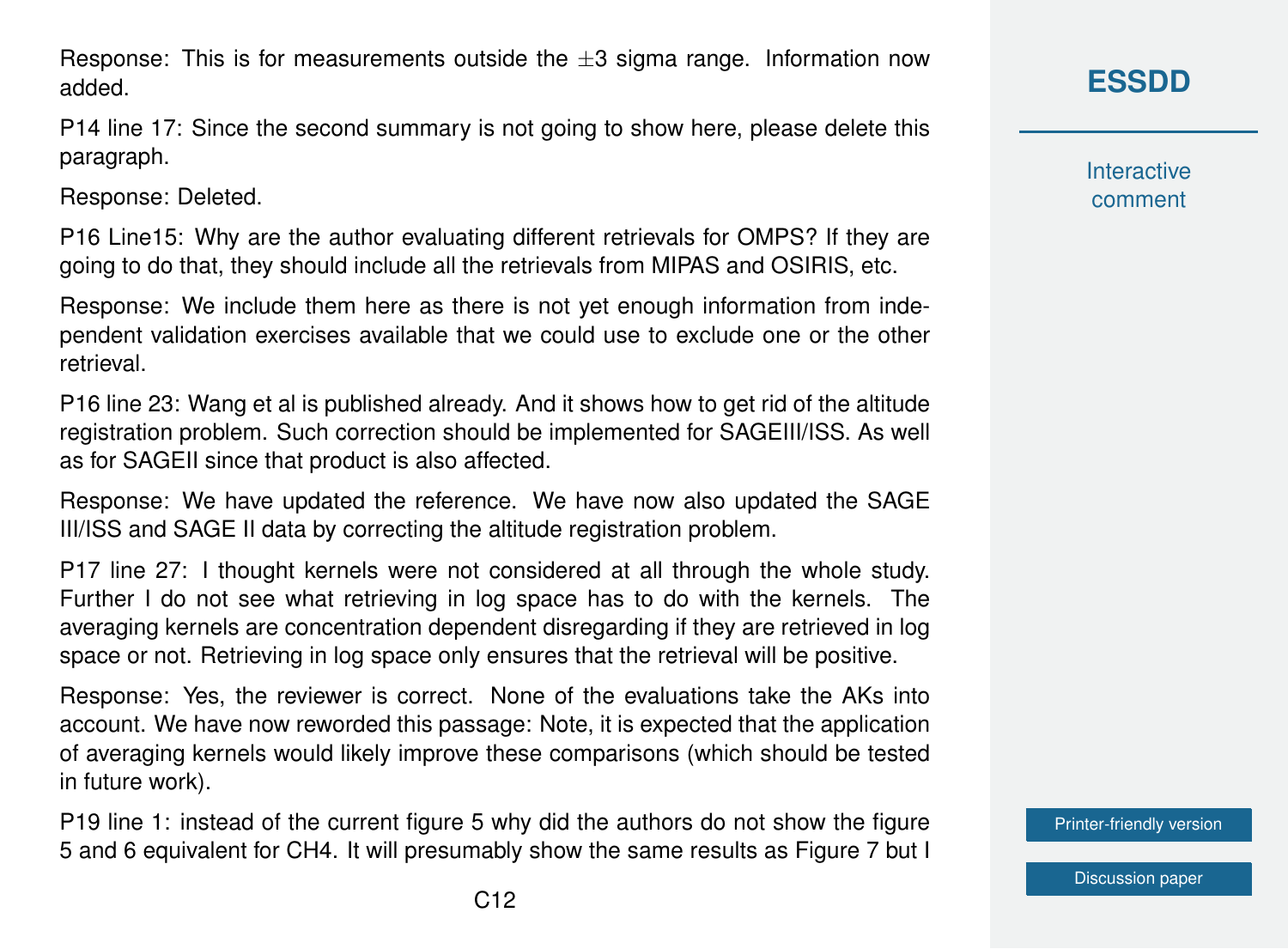Response: This is for measurements outside the  $\pm 3$  sigma range. Information now added.

P14 line 17: Since the second summary is not going to show here, please delete this paragraph.

Response: Deleted.

P16 Line15: Why are the author evaluating different retrievals for OMPS? If they are going to do that, they should include all the retrievals from MIPAS and OSIRIS, etc.

Response: We include them here as there is not yet enough information from independent validation exercises available that we could use to exclude one or the other retrieval.

P16 line 23: Wang et al is published already. And it shows how to get rid of the altitude registration problem. Such correction should be implemented for SAGEIII/ISS. As well as for SAGEII since that product is also affected.

Response: We have updated the reference. We have now also updated the SAGE III/ISS and SAGE II data by correcting the altitude registration problem.

P17 line 27: I thought kernels were not considered at all through the whole study. Further I do not see what retrieving in log space has to do with the kernels. The averaging kernels are concentration dependent disregarding if they are retrieved in log space or not. Retrieving in log space only ensures that the retrieval will be positive.

Response: Yes, the reviewer is correct. None of the evaluations take the AKs into account. We have now reworded this passage: Note, it is expected that the application of averaging kernels would likely improve these comparisons (which should be tested in future work).

P19 line 1: instead of the current figure 5 why did the authors do not show the figure 5 and 6 equivalent for CH4. It will presumably show the same results as Figure 7 but I **Interactive** comment

[Printer-friendly version](https://essd.copernicus.org/preprints/essd-2020-342/essd-2020-342-AC1-print.pdf)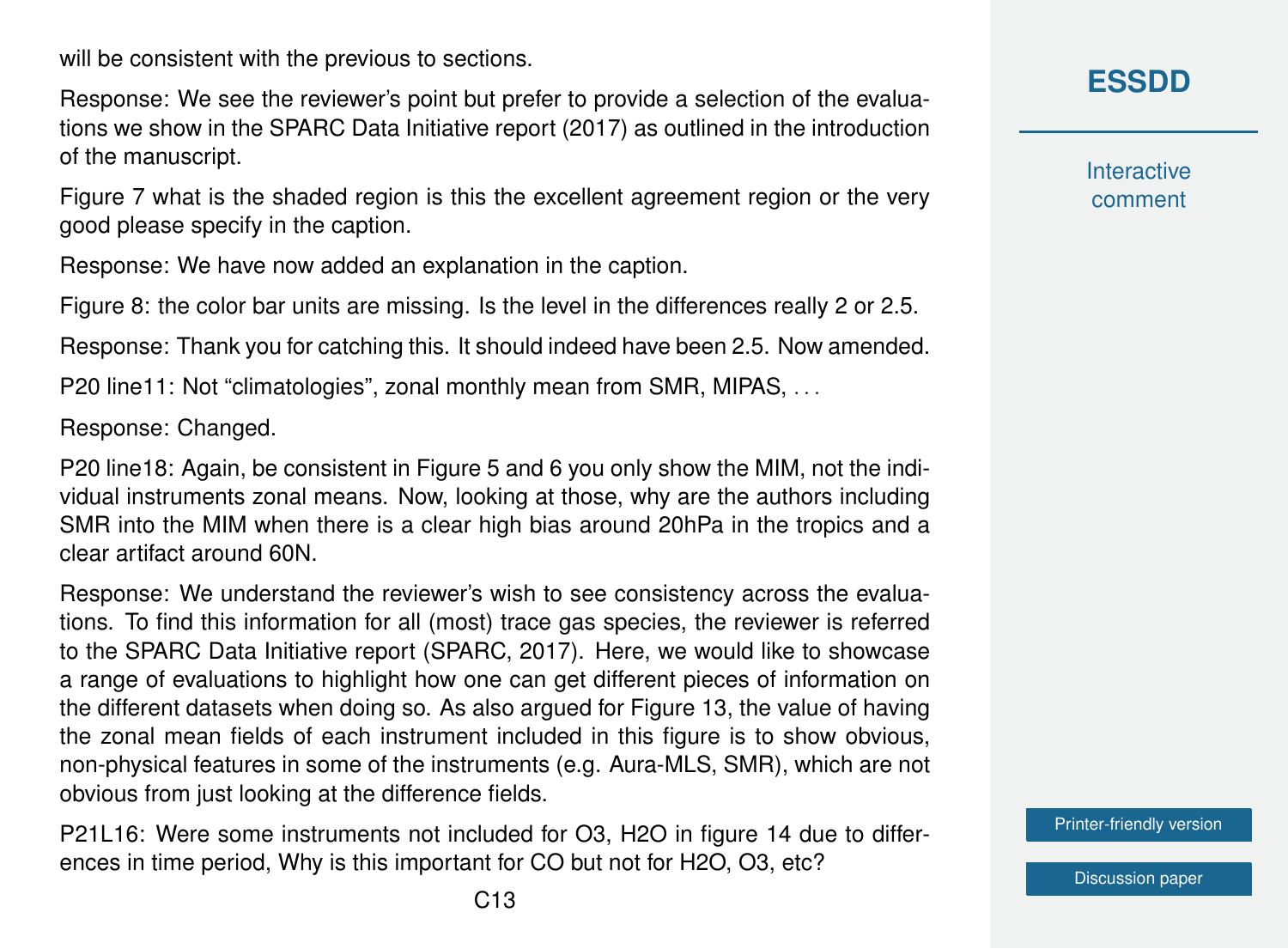will be consistent with the previous to sections.

Response: We see the reviewer's point but prefer to provide a selection of the evaluations we show in the SPARC Data Initiative report (2017) as outlined in the introduction of the manuscript.

Figure 7 what is the shaded region is this the excellent agreement region or the very good please specify in the caption.

Response: We have now added an explanation in the caption.

Figure 8: the color bar units are missing. Is the level in the differences really 2 or 2.5.

Response: Thank you for catching this. It should indeed have been 2.5. Now amended.

P20 line11: Not "climatologies", zonal monthly mean from SMR, MIPAS, . . .

Response: Changed.

P20 line18: Again, be consistent in Figure 5 and 6 you only show the MIM, not the individual instruments zonal means. Now, looking at those, why are the authors including SMR into the MIM when there is a clear high bias around 20hPa in the tropics and a clear artifact around 60N.

Response: We understand the reviewer's wish to see consistency across the evaluations. To find this information for all (most) trace gas species, the reviewer is referred to the SPARC Data Initiative report (SPARC, 2017). Here, we would like to showcase a range of evaluations to highlight how one can get different pieces of information on the different datasets when doing so. As also argued for Figure 13, the value of having the zonal mean fields of each instrument included in this figure is to show obvious, non-physical features in some of the instruments (e.g. Aura-MLS, SMR), which are not obvious from just looking at the difference fields.

P21L16: Were some instruments not included for O3, H2O in figure 14 due to differences in time period, Why is this important for CO but not for H2O, O3, etc?

**[ESSDD](https://essd.copernicus.org/preprints/)**

**Interactive** comment

[Printer-friendly version](https://essd.copernicus.org/preprints/essd-2020-342/essd-2020-342-AC1-print.pdf)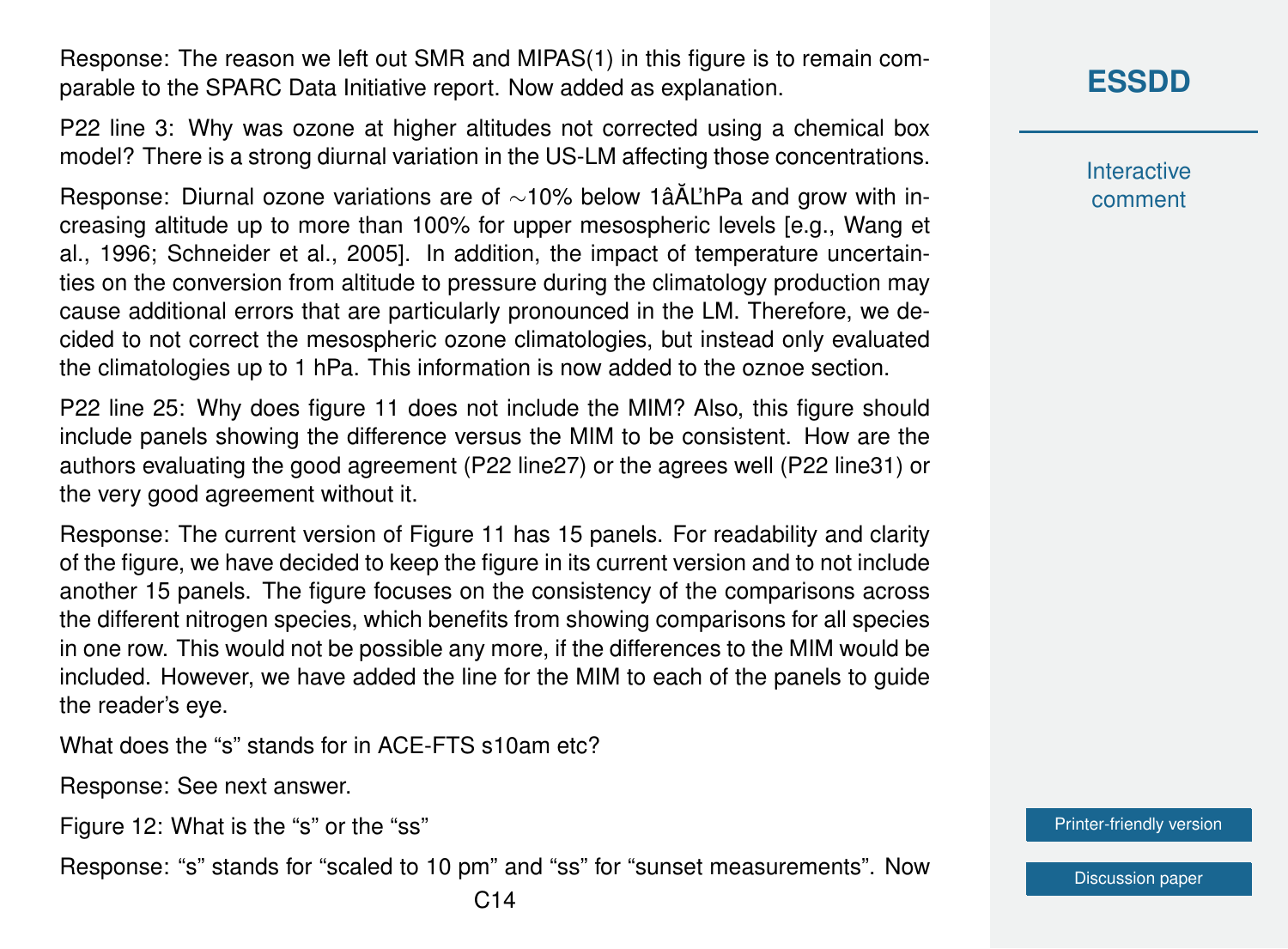Response: The reason we left out SMR and MIPAS(1) in this figure is to remain comparable to the SPARC Data Initiative report. Now added as explanation.

P22 line 3: Why was ozone at higher altitudes not corrected using a chemical box model? There is a strong diurnal variation in the US-LM affecting those concentrations.

Response: Diurnal ozone variations are of ~10% below 1âĂL'hPa and grow with increasing altitude up to more than 100% for upper mesospheric levels [e.g., Wang et al., 1996; Schneider et al., 2005]. In addition, the impact of temperature uncertainties on the conversion from altitude to pressure during the climatology production may cause additional errors that are particularly pronounced in the LM. Therefore, we decided to not correct the mesospheric ozone climatologies, but instead only evaluated the climatologies up to 1 hPa. This information is now added to the oznoe section.

P22 line 25: Why does figure 11 does not include the MIM? Also, this figure should include panels showing the difference versus the MIM to be consistent. How are the authors evaluating the good agreement (P22 line27) or the agrees well (P22 line31) or the very good agreement without it.

Response: The current version of Figure 11 has 15 panels. For readability and clarity of the figure, we have decided to keep the figure in its current version and to not include another 15 panels. The figure focuses on the consistency of the comparisons across the different nitrogen species, which benefits from showing comparisons for all species in one row. This would not be possible any more, if the differences to the MIM would be included. However, we have added the line for the MIM to each of the panels to guide the reader's eye.

What does the "s" stands for in ACE-FTS s10am etc?

Response: See next answer.

Figure 12: What is the "s" or the "ss"

Response: "s" stands for "scaled to 10 pm" and "ss" for "sunset measurements". Now

**Interactive** comment

[Printer-friendly version](https://essd.copernicus.org/preprints/essd-2020-342/essd-2020-342-AC1-print.pdf)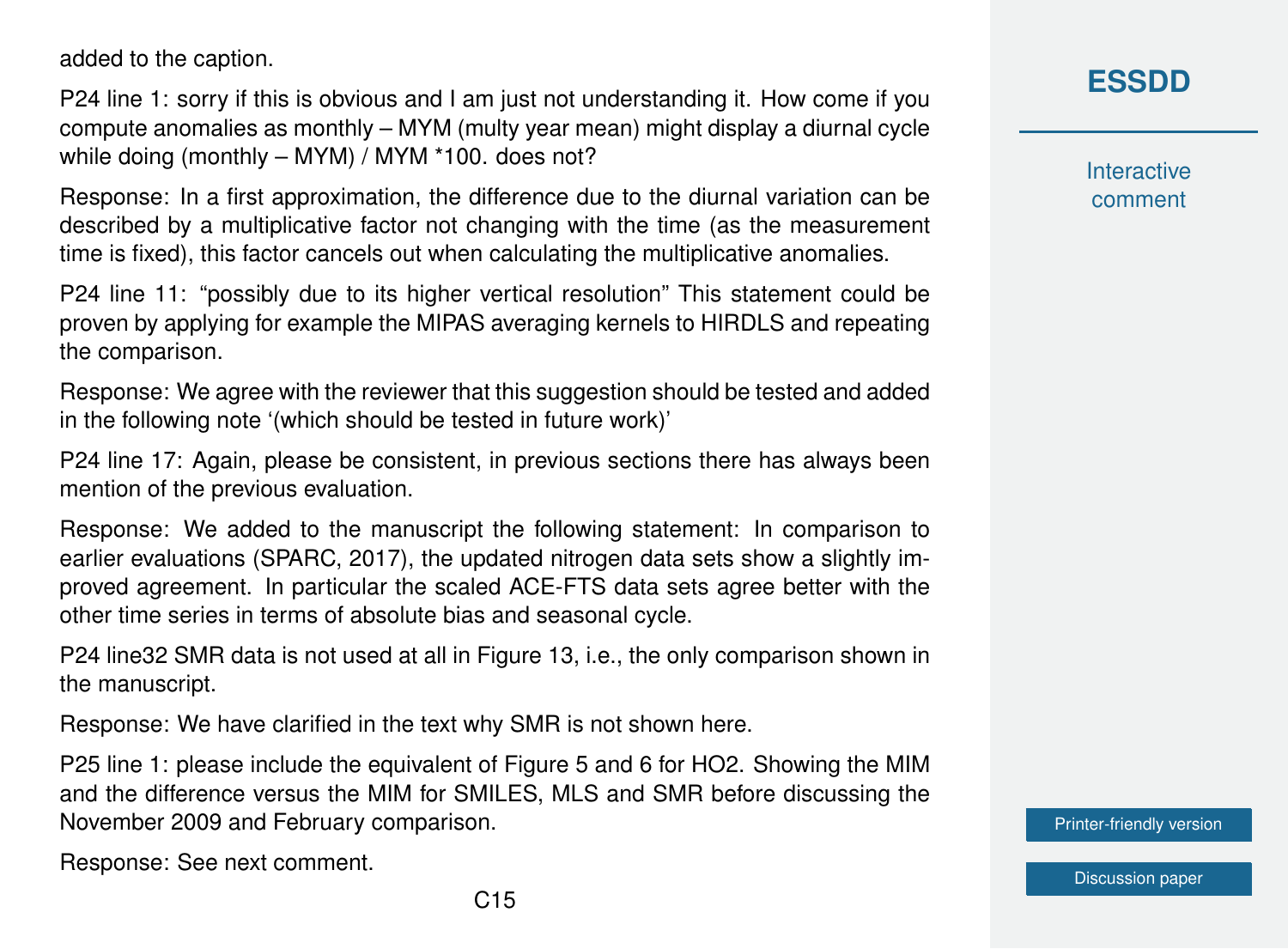added to the caption.

P24 line 1: sorry if this is obvious and I am just not understanding it. How come if you compute anomalies as monthly – MYM (multy year mean) might display a diurnal cycle while doing (monthly – MYM) / MYM \*100. does not?

Response: In a first approximation, the difference due to the diurnal variation can be described by a multiplicative factor not changing with the time (as the measurement time is fixed), this factor cancels out when calculating the multiplicative anomalies.

P24 line 11: "possibly due to its higher vertical resolution" This statement could be proven by applying for example the MIPAS averaging kernels to HIRDLS and repeating the comparison.

Response: We agree with the reviewer that this suggestion should be tested and added in the following note '(which should be tested in future work)'

P24 line 17: Again, please be consistent, in previous sections there has always been mention of the previous evaluation.

Response: We added to the manuscript the following statement: In comparison to earlier evaluations (SPARC, 2017), the updated nitrogen data sets show a slightly improved agreement. In particular the scaled ACE-FTS data sets agree better with the other time series in terms of absolute bias and seasonal cycle.

P24 line32 SMR data is not used at all in Figure 13, i.e., the only comparison shown in the manuscript.

Response: We have clarified in the text why SMR is not shown here.

P25 line 1: please include the equivalent of Figure 5 and 6 for HO2. Showing the MIM and the difference versus the MIM for SMILES, MLS and SMR before discussing the November 2009 and February comparison.

Response: See next comment.

# **[ESSDD](https://essd.copernicus.org/preprints/)**

**Interactive** comment

[Printer-friendly version](https://essd.copernicus.org/preprints/essd-2020-342/essd-2020-342-AC1-print.pdf)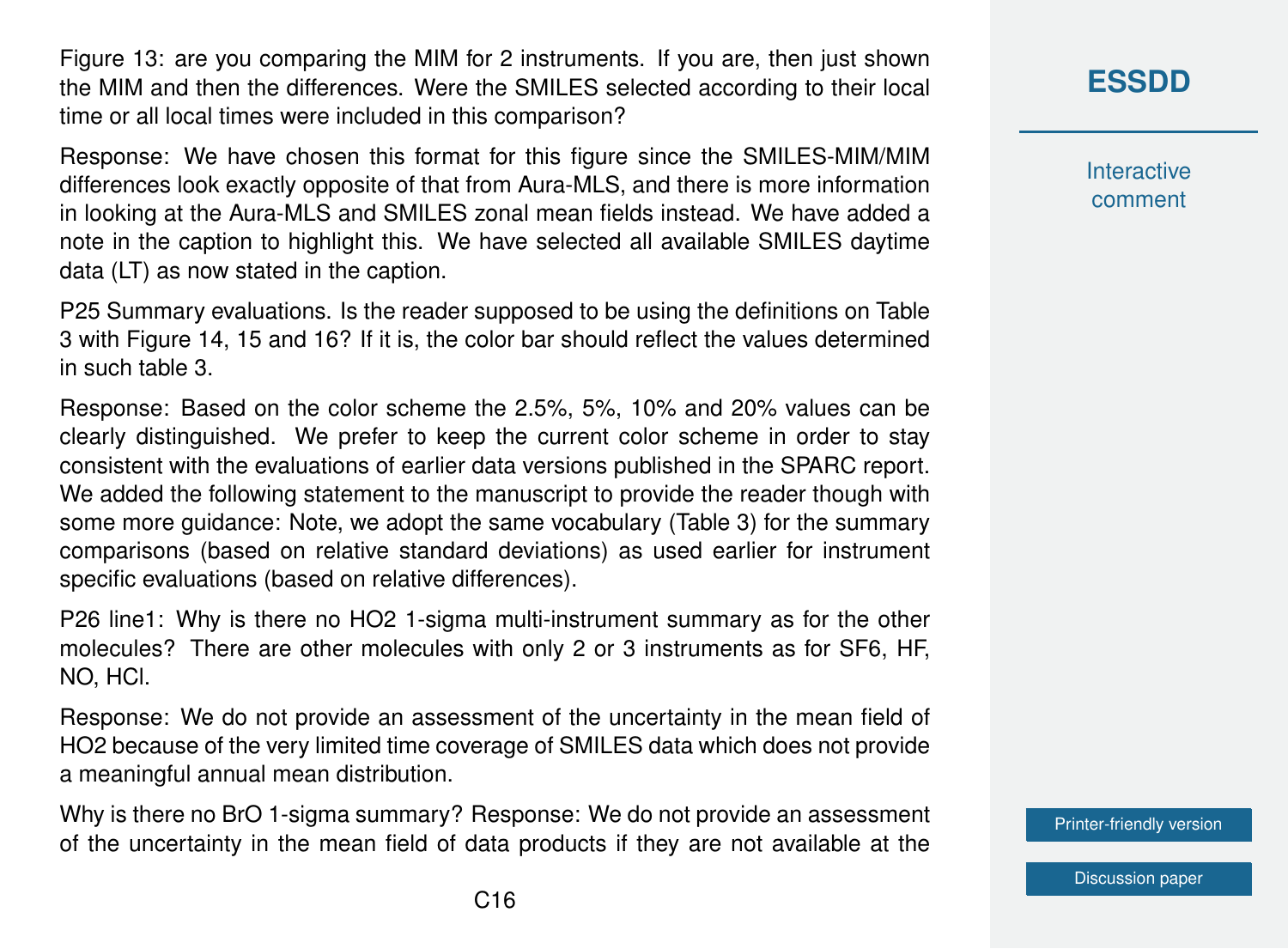Figure 13: are you comparing the MIM for 2 instruments. If you are, then just shown the MIM and then the differences. Were the SMILES selected according to their local time or all local times were included in this comparison?

Response: We have chosen this format for this figure since the SMILES-MIM/MIM differences look exactly opposite of that from Aura-MLS, and there is more information in looking at the Aura-MLS and SMILES zonal mean fields instead. We have added a note in the caption to highlight this. We have selected all available SMILES daytime data (LT) as now stated in the caption.

P25 Summary evaluations. Is the reader supposed to be using the definitions on Table 3 with Figure 14, 15 and 16? If it is, the color bar should reflect the values determined in such table 3.

Response: Based on the color scheme the 2.5%, 5%, 10% and 20% values can be clearly distinguished. We prefer to keep the current color scheme in order to stay consistent with the evaluations of earlier data versions published in the SPARC report. We added the following statement to the manuscript to provide the reader though with some more guidance: Note, we adopt the same vocabulary (Table 3) for the summary comparisons (based on relative standard deviations) as used earlier for instrument specific evaluations (based on relative differences).

P26 line1: Why is there no HO2 1-sigma multi-instrument summary as for the other molecules? There are other molecules with only 2 or 3 instruments as for SF6, HF, NO, HCl.

Response: We do not provide an assessment of the uncertainty in the mean field of HO2 because of the very limited time coverage of SMILES data which does not provide a meaningful annual mean distribution.

Why is there no BrO 1-sigma summary? Response: We do not provide an assessment of the uncertainty in the mean field of data products if they are not available at the

# **[ESSDD](https://essd.copernicus.org/preprints/)**

**Interactive** comment

[Printer-friendly version](https://essd.copernicus.org/preprints/essd-2020-342/essd-2020-342-AC1-print.pdf)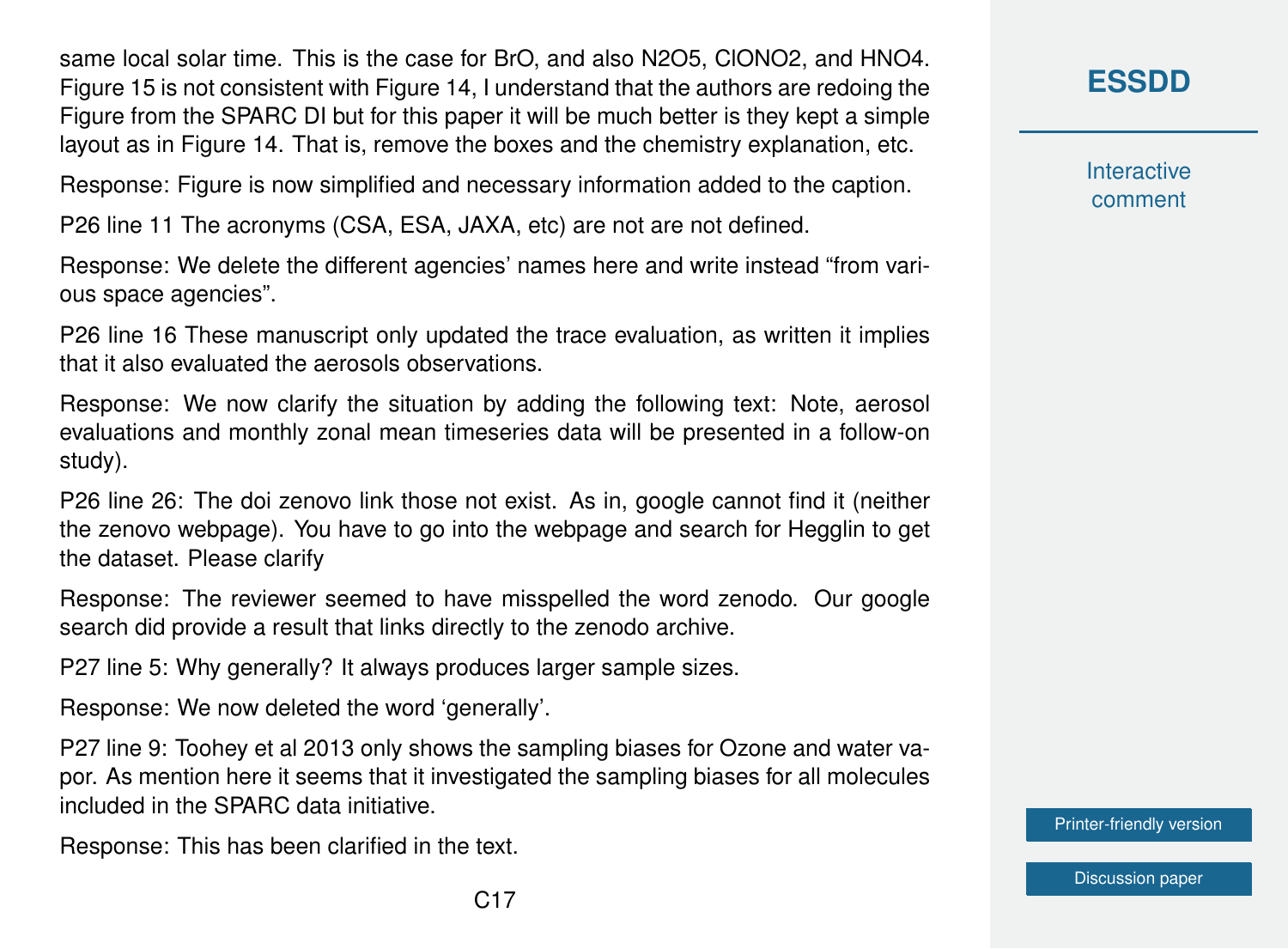same local solar time. This is the case for BrO, and also N2O5, ClONO2, and HNO4. Figure 15 is not consistent with Figure 14, I understand that the authors are redoing the Figure from the SPARC DI but for this paper it will be much better is they kept a simple layout as in Figure 14. That is, remove the boxes and the chemistry explanation, etc.

Response: Figure is now simplified and necessary information added to the caption.

P26 line 11 The acronyms (CSA, ESA, JAXA, etc) are not are not defined.

Response: We delete the different agencies' names here and write instead "from various space agencies".

P26 line 16 These manuscript only updated the trace evaluation, as written it implies that it also evaluated the aerosols observations.

Response: We now clarify the situation by adding the following text: Note, aerosol evaluations and monthly zonal mean timeseries data will be presented in a follow-on study).

P26 line 26: The doi zenovo link those not exist. As in, google cannot find it (neither the zenovo webpage). You have to go into the webpage and search for Hegglin to get the dataset. Please clarify

Response: The reviewer seemed to have misspelled the word zenodo. Our google search did provide a result that links directly to the zenodo archive.

P27 line 5: Why generally? It always produces larger sample sizes.

Response: We now deleted the word 'generally'.

P27 line 9: Toohey et al 2013 only shows the sampling biases for Ozone and water vapor. As mention here it seems that it investigated the sampling biases for all molecules included in the SPARC data initiative.

Response: This has been clarified in the text.

**[ESSDD](https://essd.copernicus.org/preprints/)**

**Interactive** comment

[Printer-friendly version](https://essd.copernicus.org/preprints/essd-2020-342/essd-2020-342-AC1-print.pdf)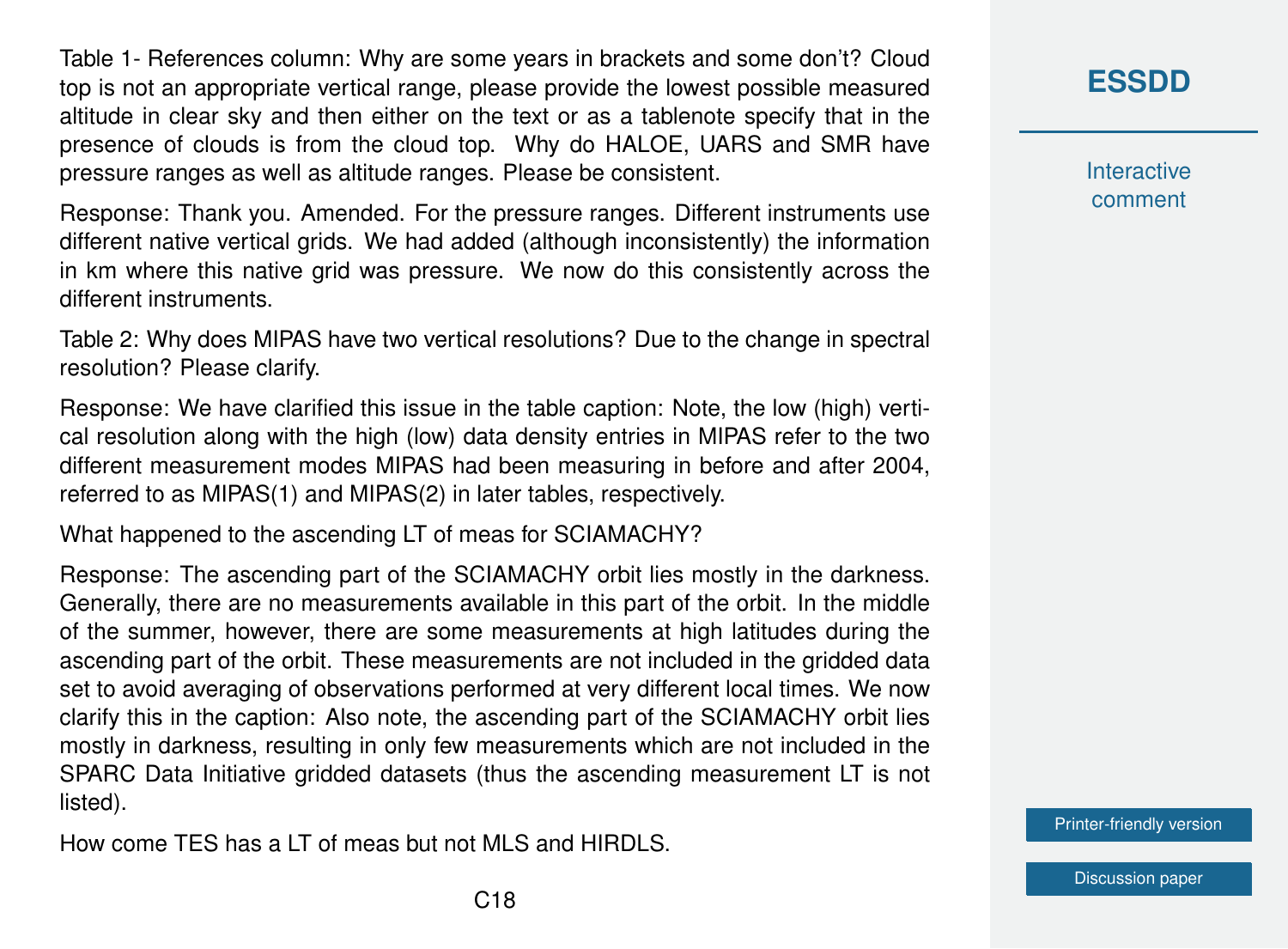Table 1- References column: Why are some years in brackets and some don't? Cloud top is not an appropriate vertical range, please provide the lowest possible measured altitude in clear sky and then either on the text or as a tablenote specify that in the presence of clouds is from the cloud top. Why do HALOE, UARS and SMR have pressure ranges as well as altitude ranges. Please be consistent.

Response: Thank you. Amended. For the pressure ranges. Different instruments use different native vertical grids. We had added (although inconsistently) the information in km where this native grid was pressure. We now do this consistently across the different instruments.

Table 2: Why does MIPAS have two vertical resolutions? Due to the change in spectral resolution? Please clarify.

Response: We have clarified this issue in the table caption: Note, the low (high) vertical resolution along with the high (low) data density entries in MIPAS refer to the two different measurement modes MIPAS had been measuring in before and after 2004, referred to as MIPAS(1) and MIPAS(2) in later tables, respectively.

What happened to the ascending LT of meas for SCIAMACHY?

Response: The ascending part of the SCIAMACHY orbit lies mostly in the darkness. Generally, there are no measurements available in this part of the orbit. In the middle of the summer, however, there are some measurements at high latitudes during the ascending part of the orbit. These measurements are not included in the gridded data set to avoid averaging of observations performed at very different local times. We now clarify this in the caption: Also note, the ascending part of the SCIAMACHY orbit lies mostly in darkness, resulting in only few measurements which are not included in the SPARC Data Initiative gridded datasets (thus the ascending measurement LT is not listed).

How come TES has a LT of meas but not MLS and HIRDLS.

# **[ESSDD](https://essd.copernicus.org/preprints/)**

**Interactive** comment

[Printer-friendly version](https://essd.copernicus.org/preprints/essd-2020-342/essd-2020-342-AC1-print.pdf)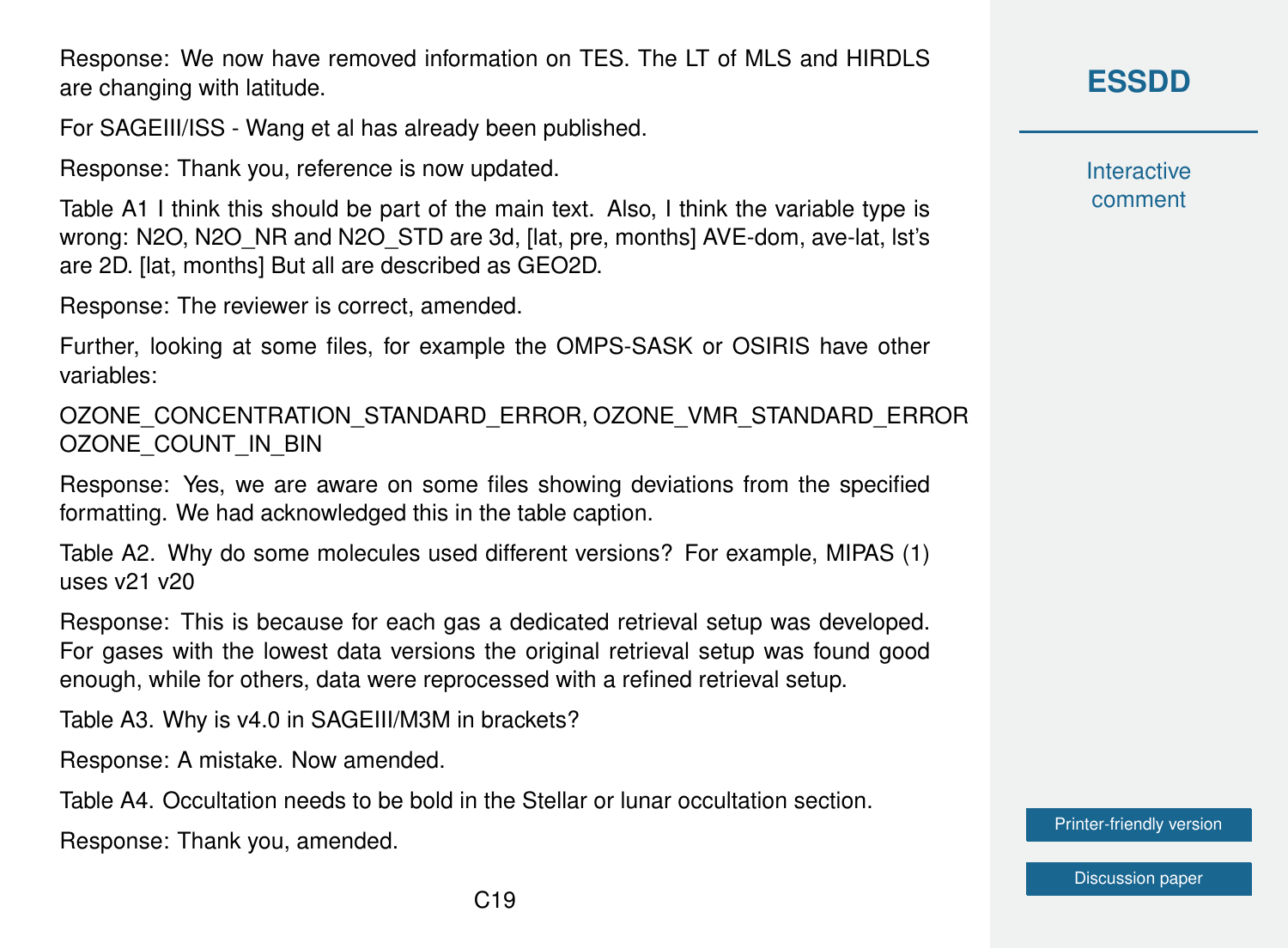Response: We now have removed information on TES. The LT of MLS and HIRDLS are changing with latitude.

For SAGEIII/ISS - Wang et al has already been published.

Response: Thank you, reference is now updated.

Table A1 I think this should be part of the main text. Also, I think the variable type is wrong: N2O, N2O\_NR and N2O\_STD are 3d, [lat, pre, months] AVE-dom, ave-lat, lst's are 2D. [lat, months] But all are described as GEO2D.

Response: The reviewer is correct, amended.

Further, looking at some files, for example the OMPS-SASK or OSIRIS have other variables:

OZONE\_CONCENTRATION\_STANDARD\_ERROR, OZONE\_VMR\_STANDARD\_ERROR OZONE\_COUNT\_IN\_BIN

Response: Yes, we are aware on some files showing deviations from the specified formatting. We had acknowledged this in the table caption.

Table A2. Why do some molecules used different versions? For example, MIPAS (1) uses v21 v20

Response: This is because for each gas a dedicated retrieval setup was developed. For gases with the lowest data versions the original retrieval setup was found good enough, while for others, data were reprocessed with a refined retrieval setup.

Table A3. Why is v4.0 in SAGEIII/M3M in brackets?

Response: A mistake. Now amended.

Table A4. Occultation needs to be bold in the Stellar or lunar occultation section.

Response: Thank you, amended.

**Interactive** comment

[Printer-friendly version](https://essd.copernicus.org/preprints/essd-2020-342/essd-2020-342-AC1-print.pdf)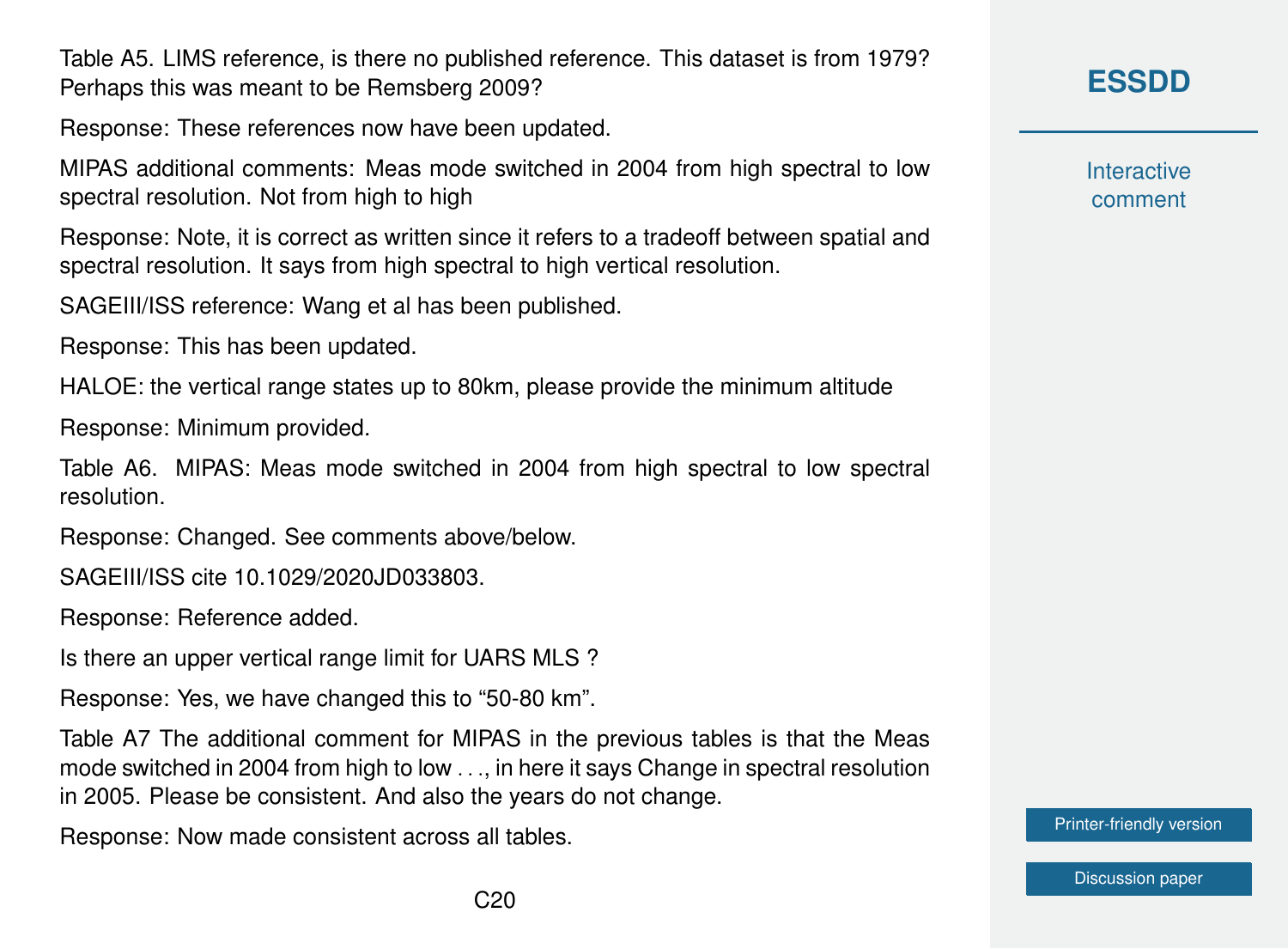Table A5. LIMS reference, is there no published reference. This dataset is from 1979? Perhaps this was meant to be Remsberg 2009?

Response: These references now have been updated.

MIPAS additional comments: Meas mode switched in 2004 from high spectral to low spectral resolution. Not from high to high

Response: Note, it is correct as written since it refers to a tradeoff between spatial and spectral resolution. It says from high spectral to high vertical resolution.

SAGEIII/ISS reference: Wang et al has been published.

Response: This has been updated.

HALOE: the vertical range states up to 80km, please provide the minimum altitude

Response: Minimum provided.

Table A6. MIPAS: Meas mode switched in 2004 from high spectral to low spectral resolution.

Response: Changed. See comments above/below.

SAGEIII/ISS cite 10.1029/2020JD033803.

Response: Reference added.

Is there an upper vertical range limit for UARS MLS ?

Response: Yes, we have changed this to "50-80 km".

Table A7 The additional comment for MIPAS in the previous tables is that the Meas mode switched in 2004 from high to low . . ., in here it says Change in spectral resolution in 2005. Please be consistent. And also the years do not change.

Response: Now made consistent across all tables.

# **[ESSDD](https://essd.copernicus.org/preprints/)**

**Interactive** comment

[Printer-friendly version](https://essd.copernicus.org/preprints/essd-2020-342/essd-2020-342-AC1-print.pdf)